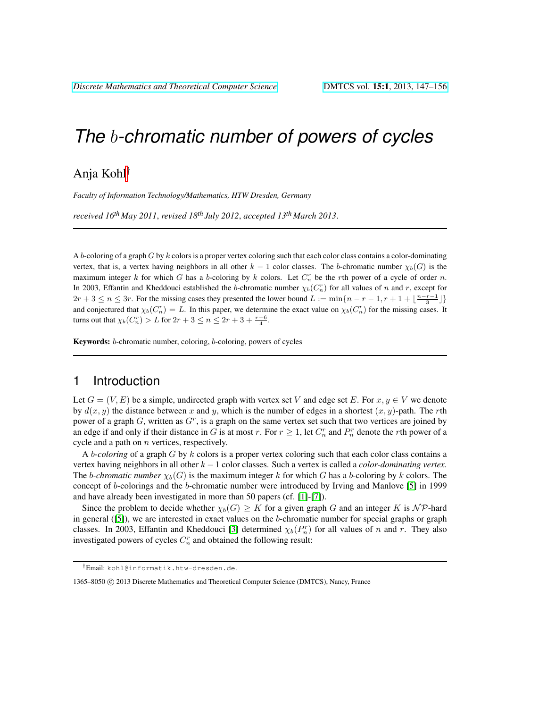# *The* b*-chromatic number of powers of cycles*

# Anja Kohl†

*Faculty of Information Technology/Mathematics, HTW Dresden, Germany*

*received 16th May 2011*, *revised 18th July 2012*, *accepted 13th March 2013*.

A b-coloring of a graph  $G$  by  $k$  colors is a proper vertex coloring such that each color class contains a color-dominating vertex, that is, a vertex having neighbors in all other  $k - 1$  color classes. The b-chromatic number  $\chi_b(G)$  is the maximum integer k for which G has a b-coloring by k colors. Let  $C_n^r$  be the rth power of a cycle of order n. In 2003, Effantin and Kheddouci established the b-chromatic number  $\chi_b(C_n^r)$  for all values of n and r, except for  $2r + 3 \leq n \leq 3r$ . For the missing cases they presented the lower bound  $L := \min\{n - r - 1, r + 1 + \lfloor \frac{n-r-1}{3} \rfloor\}$ and conjectured that  $\chi_b(C_n^r) = L$ . In this paper, we determine the exact value on  $\chi_b(C_n^r)$  for the missing cases. It turns out that  $\chi_b(C_n^r) > L$  for  $2r + 3 \le n \le 2r + 3 + \frac{r-6}{4}$ .

Keywords: b-chromatic number, coloring, b-coloring, powers of cycles

## 1 Introduction

Let  $G = (V, E)$  be a simple, undirected graph with vertex set V and edge set E. For  $x, y \in V$  we denote by  $d(x, y)$  the distance between x and y, which is the number of edges in a shortest  $(x, y)$ -path. The rth power of a graph  $G$ , written as  $G<sup>r</sup>$ , is a graph on the same vertex set such that two vertices are joined by an edge if and only if their distance in G is at most r. For  $r \ge 1$ , let  $C_n^r$  and  $P_n^r$  denote the rth power of a cycle and a path on  $n$  vertices, respectively.

A b*-coloring* of a graph G by k colors is a proper vertex coloring such that each color class contains a vertex having neighbors in all other k −1 color classes. Such a vertex is called a *color-dominating vertex*. The *b-chromatic number*  $\chi_b(G)$  is the maximum integer k for which G has a b-coloring by k colors. The concept of b-colorings and the b-chromatic number were introduced by Irving and Manlove [\[5\]](#page-9-0) in 1999 and have already been investigated in more than 50 papers (cf. [\[1\]](#page-9-1)-[\[7\]](#page-9-2)).

Since the problem to decide whether  $\chi_b(G) \geq K$  for a given graph G and an integer K is  $N \mathcal{P}$ -hard in general  $([5])$  $([5])$  $([5])$ , we are interested in exact values on the b-chromatic number for special graphs or graph classes. In 2003, Effantin and Kheddouci [\[3\]](#page-9-3) determined  $\chi_b(P_n^r)$  for all values of n and r. They also investigated powers of cycles  $C_n^r$  and obtained the following result:

<sup>†</sup>Email: kohl@informatik.htw-dresden.de.

<sup>1365–8050 © 2013</sup> Discrete Mathematics and Theoretical Computer Science (DMTCS), Nancy, France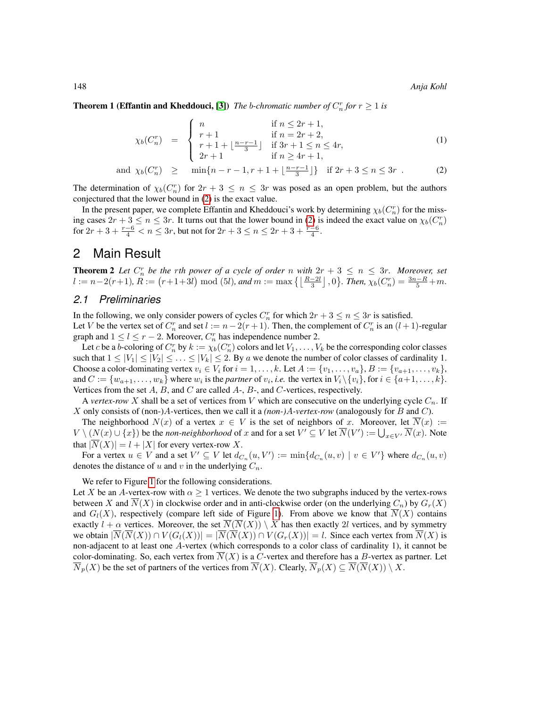**Theorem 1 (Effantin and Kheddouci, [\[3\]](#page-9-3))** *The b-chromatic number of*  $C_n^r$  *for*  $r \geq 1$  *is* 

<span id="page-1-0"></span>
$$
\chi_b(C_n^r) = \begin{cases}\n n & \text{if } n \le 2r + 1, \\
r + 1 & \text{if } n = 2r + 2, \\
r + 1 + \lfloor \frac{n - r - 1}{3} \rfloor & \text{if } 3r + 1 \le n \le 4r, \\
2r + 1 & \text{if } n \ge 4r + 1,\n\end{cases}
$$
\n(1)

and 
$$
\chi_b(C_n^r) \ge \min\{n-r-1, r+1+\lfloor \frac{n-r-1}{3} \rfloor\}
$$
 if  $2r+3 \le n \le 3r$ . (2)

The determination of  $\chi_b(C_n^r)$  for  $2r + 3 \leq n \leq 3r$  was posed as an open problem, but the authors conjectured that the lower bound in [\(2\)](#page-1-0) is the exact value.

In the present paper, we complete Effantin and Kheddouci's work by determining  $\chi_b(C_n^r)$  for the missing cases  $2r + 3 \le n \le 3r$ . It turns out that the lower bound in [\(2\)](#page-1-0) is indeed the exact value on  $\chi_b(C_n^r)$ for  $2r + 3 + \frac{r-6}{4} < n \leq 3r$ , but not for  $2r + 3 \leq n \leq 2r + 3 + \frac{r-6}{4}$ .

## 2 Main Result

<span id="page-1-1"></span>**Theorem 2** Let  $C_n^r$  be the rth power of a cycle of order n with  $2r + 3 \leq n \leq 3r$ . Moreover, set  $l := n-2(r+1), R := (r+1+3l) \mod (5l), \text{ and } m := \max\left\{ \left\lfloor \frac{R-2l}{3} \right\rfloor, 0 \right\}.$  Then,  $\chi_b(C_n^r) = \frac{3n-R}{5} + m.$ 

#### *2.1 Preliminaries*

In the following, we only consider powers of cycles  $C_n^r$  for which  $2r + 3 \le n \le 3r$  is satisfied. Let V be the vertex set of  $C_n^r$  and set  $l := n - 2(r + 1)$ . Then, the complement of  $C_n^r$  is an  $(l + 1)$ -regular graph and  $1 \leq l \leq r-2$ . Moreover,  $C_n^r$  has independence number 2.

Let c be a b-coloring of  $C_n^r$  by  $k := \chi_b(C_n^r)$  colors and let  $V_1, \ldots, V_k$  be the corresponding color classes such that  $1 \leq |V_1| \leq |V_2| \leq \ldots \leq |V_k| \leq 2$ . By a we denote the number of color classes of cardinality 1. Choose a color-dominating vertex  $v_i \in V_i$  for  $i = 1, \ldots, k$ . Let  $A := \{v_1, \ldots, v_a\}$ ,  $B := \{v_{a+1}, \ldots, v_k\}$ , and  $C := \{w_{a+1}, \ldots, w_k\}$  where  $w_i$  is the *partner* of  $v_i$ , *i.e.* the vertex in  $V_i \setminus \{v_i\}$ , for  $i \in \{a+1, \ldots, k\}$ . Vertices from the set  $A$ ,  $B$ , and  $C$  are called  $A$ -,  $B$ -, and  $C$ -vertices, respectively.

A *vertex-row* X shall be a set of vertices from V which are consecutive on the underlying cycle  $C_n$ . If X only consists of (non-)A-vertices, then we call it a *(non-)*A*-vertex-row* (analogously for B and C).

The neighborhood  $N(x)$  of a vertex  $x \in V$  is the set of neighbors of x. Moreover, let  $\overline{N}(x) :=$  $V \setminus (N(x) \cup \{x\})$  be the *non-neighborhood* of x and for a set  $V' \subseteq V$  let  $\overline{N}(V') := \bigcup_{x \in V'} \overline{N}(x)$ . Note that  $|\overline{N}(X)| = l + |X|$  for every vertex-row X.

For a vertex  $u \in V$  and a set  $V' \subseteq V$  let  $d_{C_n}(u, V') := \min \{ d_{C_n}(u, v) \mid v \in V' \}$  where  $d_{C_n}(u, v)$ denotes the distance of u and v in the underlying  $C_n$ .

We refer to Figure [1](#page-2-0) for the following considerations.

Let X be an A-vertex-row with  $\alpha > 1$  vertices. We denote the two subgraphs induced by the vertex-rows between X and  $\overline{N}(X)$  in clockwise order and in anti-clockwise order (on the underlying  $C_n$ ) by  $G_r(X)$ and  $G_l(X)$ , respectively (compare left side of Figure [1\)](#page-2-0). From above we know that  $\overline{N}(X)$  contains exactly  $l + \alpha$  vertices. Moreover, the set  $\overline{N}(\overline{N}(X)) \setminus X$  has then exactly 2l vertices, and by symmetry we obtain  $|\overline{N}(\overline{N}(X)) \cap V(G_l(X))| = |\overline{N}(\overline{N}(X)) \cap V(G_r(X))| = l$ . Since each vertex from  $\overline{N}(X)$  is non-adjacent to at least one A-vertex (which corresponds to a color class of cardinality 1), it cannot be color-dominating. So, each vertex from  $N(X)$  is a C-vertex and therefore has a B-vertex as partner. Let  $\overline{N}_p(X)$  be the set of partners of the vertices from  $\overline{N}(X)$ . Clearly,  $\overline{N}_p(X) \subseteq \overline{N}(\overline{N}(X)) \setminus X$ .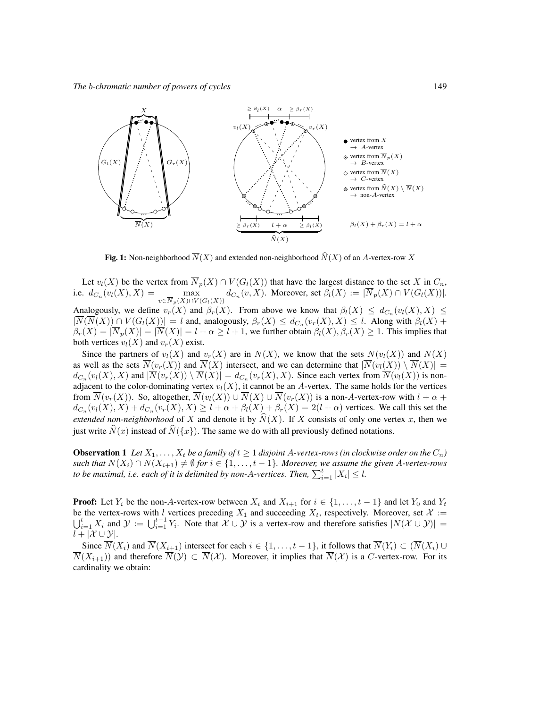

<span id="page-2-0"></span>**Fig. 1:** Non-neighborhood  $\overline{N}(X)$  and extended non-neighborhood  $\widehat{N}(X)$  of an A-vertex-row X

Let  $v_l(X)$  be the vertex from  $\overline{N}_p(X) \cap V(G_l(X))$  that have the largest distance to the set X in  $C_n$ , i.e.  $d_{C_n}(v_l(X), X) = \max_{\substack{\longleftarrow \\ n \equiv \text{const.}}}$  $\max_{v \in \overline{N}_p(X) \cap V(G_l(X))}$  $d_{C_n}(v, X)$ . Moreover, set  $\beta_l(X) := |N_p(X) \cap V(G_l(X))|$ . Analogously, we define  $v_r(X)$  and  $\beta_r(X)$ . From above we know that  $\beta_l(X) \leq d_{C_n}(v_l(X), X) \leq$  $|N(N(X)) \cap V(G_l(X))| = l$  and, analogously,  $\beta_r(X) \leq d_{C_n}(v_r(X), X) \leq l$ . Along with  $\beta_l(X)$  +  $\beta_r(X) = |\overline{N}_p(X)| = |\overline{N}(X)| = l + \alpha \ge l + 1$ , we further obtain  $\beta_l(X), \beta_r(X) \ge 1$ . This implies that both vertices  $v_l(X)$  and  $v_r(X)$  exist.

Since the partners of  $v_l(X)$  and  $v_r(X)$  are in  $\overline{N}(X)$ , we know that the sets  $\overline{N}(v_l(X))$  and  $\overline{N}(X)$ as well as the sets  $\overline{N}(v_r(X))$  and  $\overline{N}(X)$  intersect, and we can determine that  $|\overline{N}(v_l(X)) \setminus \overline{N}(X)| =$  $d_{C_n}(v_i(X), X)$  and  $|\overline{N}(v_r(X)) \setminus \overline{N}(X)| = d_{C_n}(v_r(X), X)$ . Since each vertex from  $\overline{N}(v_i(X))$  is nonadjacent to the color-dominating vertex  $v_l(X)$ , it cannot be an A-vertex. The same holds for the vertices from  $\overline{N}(v_r(X))$ . So, altogether,  $\overline{N}(v_l(X)) \cup \overline{N}(X) \cup \overline{N}(v_r(X))$  is a non-A-vertex-row with  $l + \alpha +$  $d_{C_n}(v_l(X),X) + d_{C_n}(v_r(X),X) \ge l + \alpha + \beta_l(X) + \beta_r(X) = 2(l + \alpha)$  vertices. We call this set the *extended non-neighborhood* of X and denote it by  $\widehat{N}(X)$ . If X consists of only one vertex x, then we just write  $\hat{N}(x)$  instead of  $\hat{N}(\{x\})$ . The same we do with all previously defined notations.

<span id="page-2-1"></span>**Observation 1** Let  $X_1, \ldots, X_t$  be a family of  $t \geq 1$  disjoint A-vertex-rows (in clockwise order on the  $C_n$ ) *such that*  $\overline{N}(X_i) \cap \overline{N}(X_{i+1}) \neq \emptyset$  *for*  $i \in \{1, \ldots, t-1\}$ *. Moreover, we assume the given A-vertex-rows to be maximal, i.e. each of it is delimited by non-A-vertices. Then,*  $\sum_{i=1}^{t} |X_i| \leq l$ .

**Proof:** Let  $Y_i$  be the non-A-vertex-row between  $X_i$  and  $X_{i+1}$  for  $i \in \{1, ..., t-1\}$  and let  $Y_0$  and  $Y_t$  be the vertex-rows with l vertices preceding  $X_1$  and succeeding  $X_t$ , respectively. Moreover, set  $\mathcal{X} :=$ be the vertex-rows with l vertices preceding  $X_1$  and succeeding  $X_t$ , respectively. Moreover, set  $\mathcal{X} := \bigcup_{i=1}^t X_i$  and  $\mathcal{Y} := \bigcup_{i=1}^{t-1} Y_i$ . Note that  $\mathcal{X} \cup \mathcal{Y}$  is a vertex-row and therefore satisfies  $|\$  $l + |\mathcal{X} \cup \mathcal{Y}|.$ 

Since  $\overline{N}(X_i)$  and  $\overline{N}(X_{i+1})$  intersect for each  $i \in \{1, \ldots, t-1\}$ , it follows that  $\overline{N}(Y_i) \subset (\overline{N}(X_i) \cup$  $\overline{N}(X_{i+1})$  and therefore  $\overline{N}(Y) \subset \overline{N}(X)$ . Moreover, it implies that  $\overline{N}(X)$  is a C-vertex-row. For its cardinality we obtain: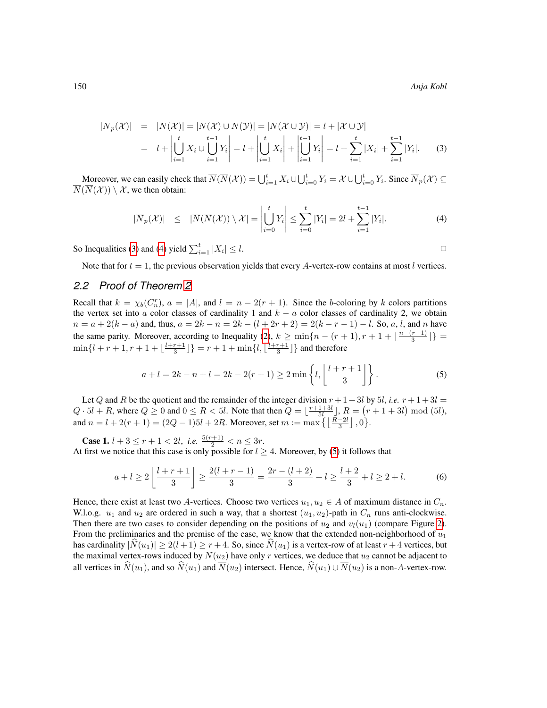<span id="page-3-0"></span>
$$
|\overline{N}_p(\mathcal{X})| = |\overline{N}(\mathcal{X})| = |\overline{N}(\mathcal{X}) \cup \overline{N}(\mathcal{Y})| = |\overline{N}(\mathcal{X} \cup \mathcal{Y})| = l + |\mathcal{X} \cup \mathcal{Y}|
$$
  
\n
$$
= l + \left| \bigcup_{i=1}^t X_i \cup \bigcup_{i=1}^{t-1} Y_i \right| = l + \left| \bigcup_{i=1}^t X_i \right| + \left| \bigcup_{i=1}^{t-1} Y_i \right| = l + \sum_{i=1}^t |X_i| + \sum_{i=1}^{t-1} |Y_i|.
$$
 (3)

Moreover, we can easily check that  $\overline{N}(\overline{N}(\mathcal{X})) = \bigcup_{i=1}^{t} X_i \cup \bigcup_{i=0}^{t} Y_i = \mathcal{X} \cup \bigcup_{i=0}^{t} Y_i$ . Since  $\overline{N}_p(\mathcal{X}) \subseteq$  $\overline{N}(\overline{N}(\mathcal{X})) \setminus \mathcal{X}$ , we then obtain:

<span id="page-3-1"></span>
$$
|\overline{N}_p(\mathcal{X})| \leq |\overline{N}(\overline{N}(\mathcal{X})) \setminus \mathcal{X}| = \left| \bigcup_{i=0}^t Y_i \right| \leq \sum_{i=0}^t |Y_i| = 2l + \sum_{i=1}^{t-1} |Y_i|.
$$
 (4)

So Inequalities [\(3\)](#page-3-0) and [\(4\)](#page-3-1) yield  $\sum_{i=1}^{t} |X_i|$  $|\leq l.$ 

<span id="page-3-3"></span><span id="page-3-2"></span>

Note that for  $t = 1$ , the previous observation yields that every A-vertex-row contains at most l vertices.

#### *2.2 Proof of Theorem [2](#page-1-1)*

Recall that  $k = \chi_b(C_n^r)$ ,  $a = |A|$ , and  $l = n - 2(r + 1)$ . Since the b-coloring by k colors partitions the vertex set into a color classes of cardinality 1 and  $k - a$  color classes of cardinality 2, we obtain  $n = a + 2(k - a)$  and, thus,  $a = 2k - n = 2k - (l + 2r + 2) = 2(k - r - 1) - l$ . So, a, l, and n have the same parity. Moreover, according to Inequality [\(2\)](#page-1-0),  $k \ge \min\{n - (r + 1), r + 1 + \lfloor\frac{n - (r + 1)}{3}\rfloor\}$  $\min\{l + r + 1, r + 1 + \lfloor \frac{l+r+1}{3} \rfloor\} = r + 1 + \min\{l, \lfloor \frac{l+r+1}{3} \rfloor\}$  and therefore

$$
a + l = 2k - n + l = 2k - 2(r + 1) \ge 2 \min \left\{ l, \left\lfloor \frac{l + r + 1}{3} \right\rfloor \right\}.
$$
 (5)

Let Q and R be the quotient and the remainder of the integer division  $r + 1 + 3l$  by 5*l*, *i.e.*  $r + 1 + 3l =$  $Q \cdot 5l + R$ , where  $Q \ge 0$  and  $0 \le R < 5l$ . Note that then  $Q = \lfloor \frac{r+1+3l}{5l} \rfloor$ ,  $R = (r+1+3l) \mod (5l)$ , and  $n = l + 2(r + 1) = (2Q - 1)5l + 2R$ . Moreover, set  $m := \max\left\{ \left\lfloor \frac{R-2l}{3} \right\rfloor, 0 \right\}$ .

**Case 1.**  $l + 3 \leq r + 1 < 2l$ , *i.e.*  $\frac{5(r+1)}{2} < n \leq 3r$ . At first we notice that this case is only possible for  $l \geq 4$ . Moreover, by [\(5\)](#page-3-2) it follows that

$$
a + l \ge 2\left\lfloor \frac{l+r+1}{3} \right\rfloor \ge \frac{2(l+r-1)}{3} = \frac{2r - (l+2)}{3} + l \ge \frac{l+2}{3} + l \ge 2 + l. \tag{6}
$$

Hence, there exist at least two A-vertices. Choose two vertices  $u_1, u_2 \in A$  of maximum distance in  $C_n$ . W.l.o.g.  $u_1$  and  $u_2$  are ordered in such a way, that a shortest  $(u_1, u_2)$ -path in  $C_n$  runs anti-clockwise. Then there are two cases to consider depending on the positions of  $u_2$  and  $v_l(u_1)$  (compare Figure [2\)](#page-4-0). From the preliminaries and the premise of the case, we know that the extended non-neighborhood of  $u_1$ has cardinality  $|N(u_1)| \ge 2(l+1) \ge r+4$ . So, since  $N(u_1)$  is a vertex-row of at least  $r+4$  vertices, but the maximal vertex-rows induced by  $N(u_2)$  have only r vertices, we deduce that  $u_2$  cannot be adjacent to all vertices in  $\hat{N}(u_1)$ , and so  $\hat{N}(u_1)$  and  $\overline{N}(u_2)$  intersect. Hence,  $\hat{N}(u_1) \cup \overline{N}(u_2)$  is a non-A-vertex-row.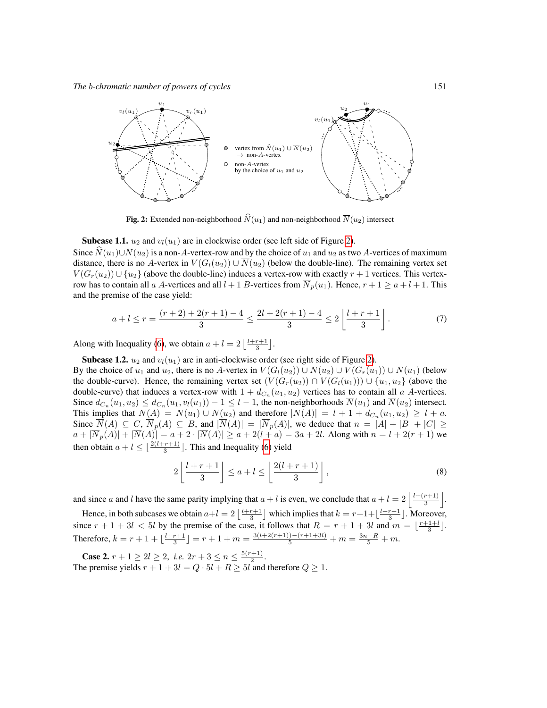

<span id="page-4-0"></span>**Fig. 2:** Extended non-neighborhood  $\widehat{N}(u_1)$  and non-neighborhood  $\overline{N}(u_2)$  intersect

**Subcase 1.1.**  $u_2$  and  $v_l(u_1)$  are in clockwise order (see left side of Figure [2\)](#page-4-0).

Since  $\widehat{N}(u_1) \cup \overline{N}(u_2)$  is a non-A-vertex-row and by the choice of  $u_1$  and  $u_2$  as two A-vertices of maximum distance, there is no A-vertex in  $V(G_l(u_2)) \cup \overline{N}(u_2)$  (below the double-line). The remaining vertex set  $V(G_r(u_2)) \cup \{u_2\}$  (above the double-line) induces a vertex-row with exactly  $r + 1$  vertices. This vertexrow has to contain all a A-vertices and all  $l + 1$  B-vertices from  $\overline{N}_p(u_1)$ . Hence,  $r + 1 \ge a + l + 1$ . This and the premise of the case yield:

$$
a + l \le r = \frac{(r+2) + 2(r+1) - 4}{3} \le \frac{2l + 2(r+1) - 4}{3} \le 2\left\lfloor \frac{l+r+1}{3} \right\rfloor.
$$
 (7)

Along with Inequality [\(6\)](#page-3-3), we obtain  $a + l = 2 \left\lfloor \frac{l+r+1}{3} \right\rfloor$ .

Subcase 1.2.  $u_2$  and  $v_l(u_1)$  are in anti-clockwise order (see right side of Figure [2\)](#page-4-0).

By the choice of  $u_1$  and  $u_2$ , there is no A-vertex in  $V(G_l(u_2)) \cup \overline{N}(u_2) \cup V(G_r(u_1)) \cup \overline{N}(u_1)$  (below the double-curve). Hence, the remaining vertex set  $(V(G_r(u_2)) \cap V(G_l(u_1))) \cup \{u_1, u_2\}$  (above the double-curve) that induces a vertex-row with  $1 + d_{C_n}(u_1, u_2)$  vertices has to contain all a A-vertices. Since  $d_{C_n}(u_1, u_2) \le d_{C_n}(u_1, v_l(u_1)) - 1 \le l - 1$ , the non-neighborhoods  $N(u_1)$  and  $N(u_2)$  intersect. This implies that  $N(A) = N(u_1) \cup N(u_2)$  and therefore  $|N(A)| = l + 1 + d_{C_n}(u_1, u_2) \geq l + a$ . Since  $N(A) \subseteq C$ ,  $N_p(A) \subseteq B$ , and  $|N(A)| = |N_p(A)|$ , we deduce that  $n = |A| + |B| + |C| \ge$  $a + |\overline{N}_p(A)| + |\overline{N}(A)| = a + 2 \cdot |\overline{N}(A)| \ge a + 2(l + a) = 3a + 2l$ . Along with  $n = l + 2(r + 1)$  we then obtain  $a + l \leq \lfloor \frac{2(l+r+1)}{3} \rfloor$ . This and Inequality [\(6\)](#page-3-3) yield

$$
2\left\lfloor \frac{l+r+1}{3} \right\rfloor \le a + l \le \left\lfloor \frac{2(l+r+1)}{3} \right\rfloor, \tag{8}
$$

and since a and l have the same parity implying that  $a + l$  is even, we conclude that  $a + l = 2 \left| \frac{l + (r+1)}{3} \right|$ 3  $\vert$ .

Hence, in both subcases we obtain  $a+l=2\left\lfloor\frac{l+r+1}{3}\right\rfloor$  which implies that  $k=r+1+\left\lfloor\frac{l+r+1}{3}\right\rfloor$ . Moreover, since  $r + 1 + 3l < 5l$  by the premise of the case, it follows that  $R = r + 1 + 3l$  and  $m = \lfloor \frac{r+1+l}{3} \rfloor$ . Therefore,  $k = r + 1 + \lfloor \frac{l+r+1}{3} \rfloor = r + 1 + m = \frac{3(l+2(r+1)) - (r+1+3l)}{5} + m = \frac{3n-R}{5} + m.$ 

**Case 2.**  $r + 1 \ge 2l \ge 2$ , *i.e.*  $2r + 3 \le n \le \frac{5(r+1)}{2}$  $rac{+1)}{2}$ . The premise yields  $r + 1 + 3l = Q \cdot 5l + R \geq 5l$  and therefore  $Q \geq 1$ .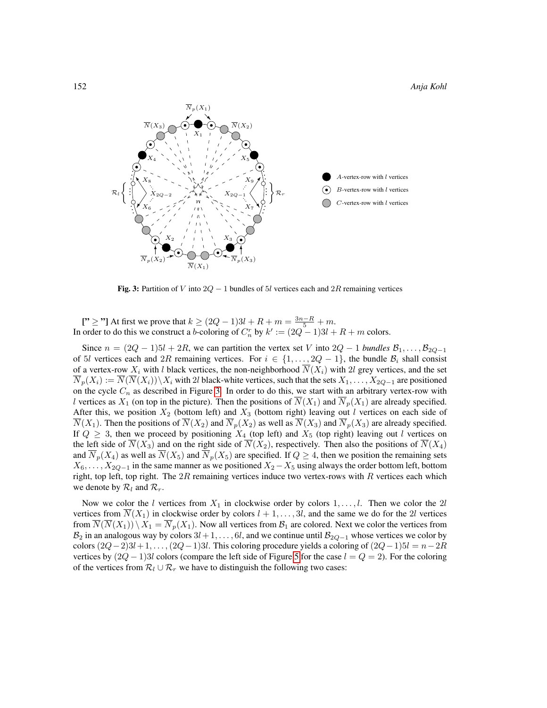

<span id="page-5-0"></span>Fig. 3: Partition of V into  $2Q - 1$  bundles of 5l vertices each and  $2R$  remaining vertices

["  $\ge$  "] At first we prove that  $k \ge (2Q - 1)3l + R + m = \frac{3n - R}{5} + m$ . In order to do this we construct a b-coloring of  $C_n^r$  by  $k' := (2Q - 1)3l + R + m$  colors.

Since  $n = (2Q - 1)5l + 2R$ , we can partition the vertex set V into  $2Q - 1$  *bundles*  $\mathcal{B}_1, \ldots, \mathcal{B}_{2Q-1}$ of 5l vertices each and 2R remaining vertices. For  $i \in \{1, \ldots, 2Q - 1\}$ , the bundle  $\mathcal{B}_i$  shall consist of a vertex-row  $X_i$  with l black vertices, the non-neighborhood  $N(X_i)$  with  $2l$  grey vertices, and the set  $\overline{N}_p(X_i) := \overline{N}(\overline{N}(X_i)) \setminus X_i$  with 2l black-white vertices, such that the sets  $X_1, \ldots, X_{2Q-1}$  are positioned on the cycle  $C_n$  as described in Figure [3.](#page-5-0) In order to do this, we start with an arbitrary vertex-row with l vertices as  $X_1$  (on top in the picture). Then the positions of  $\overline{N}(X_1)$  and  $\overline{N}_p(X_1)$  are already specified. After this, we position  $X_2$  (bottom left) and  $X_3$  (bottom right) leaving out l vertices on each side of  $\overline{N}(X_1)$ . Then the positions of  $\overline{N}(X_2)$  and  $\overline{N}_p(X_2)$  as well as  $\overline{N}(X_3)$  and  $\overline{N}_p(X_3)$  are already specified. If  $Q \geq 3$ , then we proceed by positioning  $X_4$  (top left) and  $X_5$  (top right) leaving out l vertices on the left side of  $\overline{N}(X_3)$  and on the right side of  $\overline{N}(X_2)$ , respectively. Then also the positions of  $\overline{N}(X_4)$ and  $\overline{N}_p(X_4)$  as well as  $\overline{N}(X_5)$  and  $\overline{N}_p(X_5)$  are specified. If  $Q \geq 4$ , then we position the remaining sets  $X_6, \ldots, X_{2Q-1}$  in the same manner as we positioned  $X_2 - X_5$  using always the order bottom left, bottom right, top left, top right. The  $2R$  remaining vertices induce two vertex-rows with  $R$  vertices each which we denote by  $\mathcal{R}_l$  and  $\mathcal{R}_r$ .

Now we color the l vertices from  $X_1$  in clockwise order by colors  $1, \ldots, l$ . Then we color the 2l vertices from  $\overline{N}(X_1)$  in clockwise order by colors  $l + 1, \ldots, 3l$ , and the same we do for the 2l vertices from  $N(N(X_1)) \setminus X_1 = N_p(X_1)$ . Now all vertices from  $\mathcal{B}_1$  are colored. Next we color the vertices from  $B_2$  in an analogous way by colors  $3l + 1, \ldots, 6l$ , and we continue until  $B_{2Q-1}$  whose vertices we color by colors  $(2Q-2)3l+1, \ldots, (2Q-1)3l$ . This coloring procedure yields a coloring of  $(2Q-1)5l = n-2R$ vertices by  $(2Q - 1)3l$  colors (compare the left side of Figure [5](#page-6-0) for the case  $l = Q = 2$ ). For the coloring of the vertices from  $\mathcal{R}_l \cup \mathcal{R}_r$  we have to distinguish the following two cases: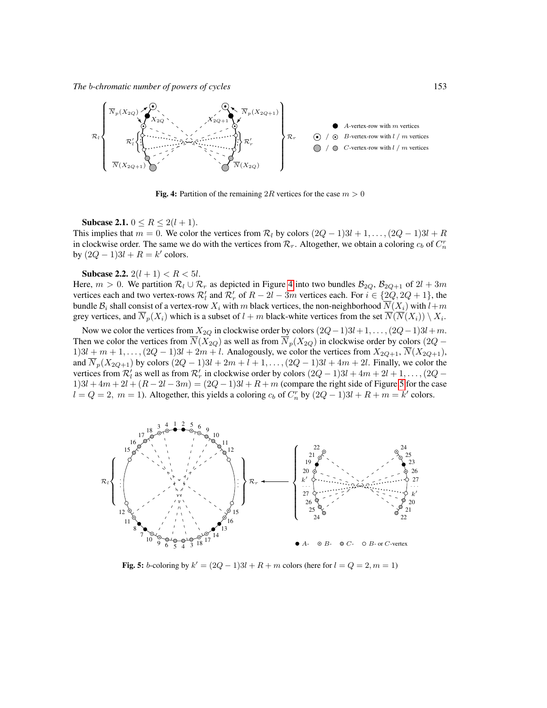

<span id="page-6-1"></span>Fig. 4: Partition of the remaining 2R vertices for the case  $m > 0$ 

**Subcase 2.1.**  $0 \le R \le 2(l + 1)$ .

This implies that  $m = 0$ . We color the vertices from  $\mathcal{R}_l$  by colors  $(2Q - 1)3l + 1, \ldots, (2Q - 1)3l + R$ in clockwise order. The same we do with the vertices from  $\mathcal{R}_r$ . Altogether, we obtain a coloring  $c_b$  of  $C_n^r$ by  $(2Q - 1)3l + R = k'$  colors.

Subcase 2.2.  $2(l + 1) < R < 5l$ .

Here,  $m > 0$ . We partition  $\mathcal{R}_l \cup \mathcal{R}_r$  as depicted in Figure [4](#page-6-1) into two bundles  $\mathcal{B}_{2Q}$ ,  $\mathcal{B}_{2Q+1}$  of  $2l + 3m$ vertices each and two vertex-rows  $\mathcal{R}'_l$  and  $\mathcal{R}'_r$  of  $R-2l-3m$  vertices each. For  $i \in \{2Q, 2Q+1\}$ , the bundle  $B_i$  shall consist of a vertex-row  $X_i$  with m black vertices, the non-neighborhood  $\overline{N}(X_i)$  with  $l+m$ grey vertices, and  $\overline{N}_p(X_i)$  which is a subset of  $l+m$  black-white vertices from the set  $\overline{N}(\overline{N}(X_i)) \setminus X_i$ .

Now we color the vertices from  $X_{2Q}$  in clockwise order by colors  $(2Q-1)3l+1, \ldots, (2Q-1)3l+m$ . Then we color the vertices from  $\overline{N}(X_{2Q})$  as well as from  $\overline{N}_p(X_{2Q})$  in clockwise order by colors (2Q –  $1)3l + m + 1, \ldots, (2Q - 1)3l + 2m + l$ . Analogously, we color the vertices from  $X_{2Q+1}$ ,  $\overline{N}(X_{2Q+1})$ , and  $\overline{N}_p(X_{2Q+1})$  by colors  $(2Q-1)3l + 2m + l + 1, \ldots, (2Q-1)3l + 4m + 2l$ . Finally, we color the vertices from  $\mathcal{R}'_l$  as well as from  $\mathcal{R}'_r$  in clockwise order by colors  $(2Q-1)3l + 4m + 2l + 1, \ldots, (2Q - 1)l$  $1)3l + 4m + 2l + (R - 2l - 3m) = (2Q - 1)3l + R + m$  (compare the right side of Figure [5](#page-6-0) for the case  $l = Q = 2, m = 1$ ). Altogether, this yields a coloring  $c_b$  of  $C_n^r$  by  $(2Q - 1)3l + R + m = k'$  colors.



<span id="page-6-0"></span>**Fig. 5:** *b*-coloring by  $k' = (2Q - 1)3l + R + m$  colors (here for  $l = Q = 2, m = 1$ )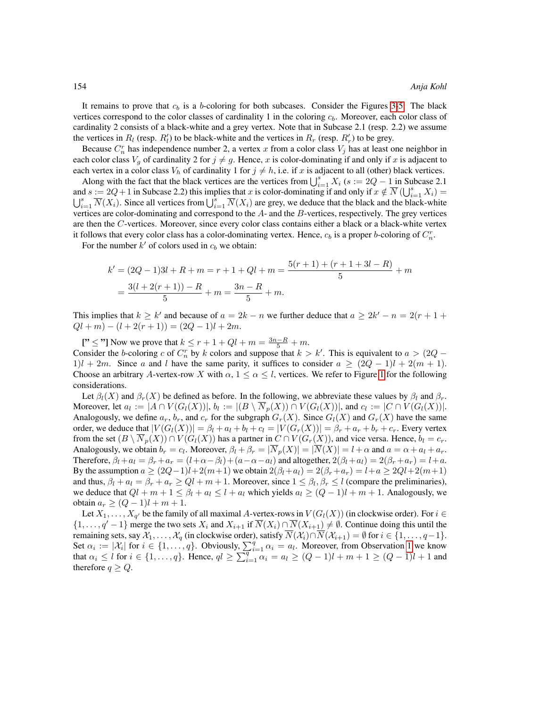It remains to prove that  $c_b$  is a b-coloring for both subcases. Consider the Figures [3](#page-5-0)[-5:](#page-6-0) The black vertices correspond to the color classes of cardinality 1 in the coloring  $c<sub>b</sub>$ . Moreover, each color class of cardinality 2 consists of a black-white and a grey vertex. Note that in Subcase 2.1 (resp. 2.2) we assume the vertices in  $R_l$  (resp.  $R'_l$ ) to be black-white and the vertices in  $R_r$  (resp.  $R'_r$ ) to be grey.

Because  $C_n^r$  has independence number 2, a vertex x from a color class  $V_j$  has at least one neighbor in each color class  $V_g$  of cardinality 2 for  $j \neq g$ . Hence, x is color-dominating if and only if x is adjacent to each vertex in a color class  $V_h$  of cardinality 1 for  $j \neq h$ , i.e. if x is adjacent to all (other) black vertices.

Along with the fact that the black vertices are the vertices from  $\bigcup_{i=1}^{s} X_i$  ( $s := 2Q - 1$  in Subcase 2.1 and  $s := 2Q + 1$  in Subcase 2.2) this implies that x is color-dominating if and only if  $x \notin \overline{N}$  ( $\bigcup_{i=1}^{s} X_i$ ) =  $\bigcup_{i=1}^s \overline{N}(X_i)$ . Since all vertices from  $\bigcup_{i=1}^s \overline{N}(X_i)$  are grey, we deduce that the black and the black-white vertices are color-dominating and correspond to the A- and the B-vertices, respectively. The grey vertices are then the C-vertices. Moreover, since every color class contains either a black or a black-white vertex it follows that every color class has a color-dominating vertex. Hence,  $c_b$  is a proper b-coloring of  $C_n^r$ .

For the number  $k'$  of colors used in  $c_b$  we obtain:

$$
k' = (2Q - 1)3l + R + m = r + 1 + Ql + m = \frac{5(r + 1) + (r + 1 + 3l - R)}{5} + m
$$
  
= 
$$
\frac{3(l + 2(r + 1)) - R}{5} + m = \frac{3n - R}{5} + m.
$$

This implies that  $k \geq k'$  and because of  $a = 2k - n$  we further deduce that  $a \geq 2k' - n = 2(r + 1 +$  $Ql + m - (l + 2(r + 1)) = (2Q - 1)l + 2m.$ 

["  $\leq$  "] Now we prove that  $k \leq r + 1 + Ql + m = \frac{3n - R}{5} + m$ . Consider the b-coloring c of  $C_n^r$  by k colors and suppose that  $k > k'$ . This is equivalent to  $a > (2Q 1)$ l + 2m. Since a and l have the same parity, it suffices to consider  $a \geq (2Q - 1)l + 2(m + 1)$ . Choose an arbitrary A-vertex-row X with  $\alpha$ ,  $1 \leq \alpha \leq l$ , vertices. We refer to Figure [1](#page-2-0) for the following considerations.

Let  $\beta_l(X)$  and  $\beta_r(X)$  be defined as before. In the following, we abbreviate these values by  $\beta_l$  and  $\beta_r$ . Moreover, let  $a_l := |A \cap V(G_l(X))|$ ,  $b_l := |(B \setminus \overline{N}_p(X)) \cap V(G_l(X))|$ , and  $c_l := |C \cap V(G_l(X))|$ . Analogously, we define  $a_r$ ,  $b_r$ , and  $c_r$  for the subgraph  $G_r(X)$ . Since  $G_l(X)$  and  $G_r(X)$  have the same order, we deduce that  $|V(G_l(X))| = \beta_l + a_l + b_l + c_l = |V(G_r(X))| = \beta_r + a_r + b_r + c_r$ . Every vertex from the set  $(B \setminus \overline{N}_p(X)) \cap V(G_l(X))$  has a partner in  $C \cap V(G_r(X))$ , and vice versa. Hence,  $b_l = c_r$ . Analogously, we obtain  $b_r = c_l$ . Moreover,  $\beta_l + \beta_r = |\overline{N}_p(X)| = |\overline{N}(X)| = l + \alpha$  and  $a = \alpha + a_l + a_r$ . Therefore,  $\beta_l + a_l = \beta_r + a_r = (l + \alpha - \beta_l) + (a - \alpha - a_l)$  and altogether,  $2(\beta_l + a_l) = 2(\beta_r + a_r) = l + a$ . By the assumption  $a \ge (2Q-1)l+2(m+1)$  we obtain  $2(\beta_l+a_l)=2(\beta_r+a_r)=l+a\ge 2Ql+2(m+1)$ and thus,  $\beta_l + a_l = \beta_r + a_r \ge Ql + m + 1$ . Moreover, since  $1 \le \beta_l, \beta_r \le l$  (compare the preliminaries), we deduce that  $Ql + m + 1 \leq \beta_l + a_l \leq l + a_l$  which yields  $a_l \geq (Q - 1)l + m + 1$ . Analogously, we obtain  $a_r$  ≥  $(Q − 1)l + m + 1$ .

Let  $X_1, \ldots, X_{q'}$  be the family of all maximal A-vertex-rows in  $V(G_l(X))$  (in clockwise order). For  $i \in$  $\{1,\ldots,q'-1\}$  merge the two sets  $X_i$  and  $X_{i+1}$  if  $\overline{N}(X_i) \cap \overline{N}(X_{i+1}) \neq \emptyset$ . Continue doing this until the remaining sets, say  $\mathcal{X}_1, \ldots, \mathcal{X}_q$  (in clockwise order), satisfy  $\overline{N}(\mathcal{X}_i) \cap \overline{N}(\mathcal{X}_{i+1}) = \emptyset$  for  $i \in \{1, \ldots, q-1\}$ . Set  $\alpha_i := |\mathcal{X}_i|$  for  $i \in \{1, ..., q\}$ . Obviously,  $\sum_{i=1}^q \alpha_i = a_i$ . Moreover, from Observation [1](#page-2-1) we know that  $\alpha_i \leq l$  for  $i \in \{1, ..., q\}$ . Hence,  $ql \geq \sum_{i=1}^{q} \alpha_i = a_l \geq (Q-1)l + m + 1 \geq (Q-1)l + 1$  and therefore  $q \geq Q$ .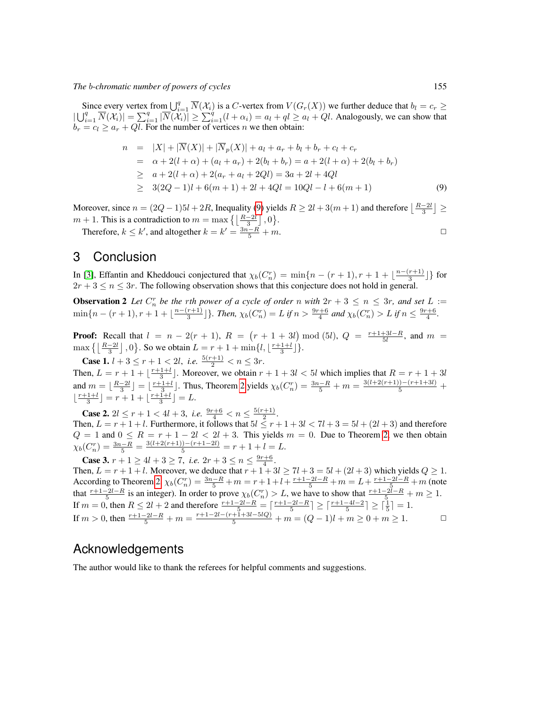Since every vertex from  $\bigcup_{i=1}^{q} \overline{N}(\mathcal{X}_i)$  is a C-vertex from  $V(G_r(X))$  we further deduce that  $b_l = c_r \geq$  $|\bigcup_{i=1}^q \overline{N}(\mathcal{X}_i)| = \sum_{i=1}^q |\overline{N}(\mathcal{X}_i)| \geq \sum_{i=1}^q (l + \alpha_i) = a_l + q_l \geq a_l + Q_l$ . Analogously, we can show that  $b_r = c_l \ge a_r + Q_l$ . For the number of vertices n we then obtain:

<span id="page-8-0"></span>
$$
n = |X| + |\overline{N}(X)| + |\overline{N}_p(X)| + a_l + a_r + b_l + b_r + c_l + c_r
$$
  
\n
$$
= \alpha + 2(l + \alpha) + (a_l + a_r) + 2(b_l + b_r) = a + 2(l + \alpha) + 2(b_l + b_r)
$$
  
\n
$$
\geq a + 2(l + \alpha) + 2(a_r + a_l + 2Ql) = 3a + 2l + 4Ql
$$
  
\n
$$
\geq 3(2Q - 1)l + 6(m + 1) + 2l + 4Ql = 10Ql - l + 6(m + 1)
$$
 (9)

Moreover, since  $n = (2Q - 1)5l + 2R$ , Inequality [\(9\)](#page-8-0) yields  $R \ge 2l + 3(m + 1)$  and therefore  $\lfloor \frac{R-2l}{3} \rfloor \ge$  $m + 1$ . This is a contradiction to  $m = \max\left\{ \left\lfloor \frac{R-2l}{3} \right\rfloor, 0 \right\}$ .

Therefore,  $k \leq k'$ , and altogether  $k = k' = \frac{3n - R}{5} + m$ .

## 3 Conclusion

In [\[3\]](#page-9-3), Effantin and Kheddouci conjectured that  $\chi_b(C_n^r) = \min\{n - (r+1), r+1 + \lfloor \frac{n-(r+1)}{3} \rfloor\}$  for  $2r + 3 \leq n \leq 3r$ . The following observation shows that this conjecture does not hold in general.

**Observation 2** Let  $C_n^r$  be the rth power of a cycle of order n with  $2r + 3 \le n \le 3r$ , and set  $L :=$  $\min\{n-(r+1), r+1+\lfloor\frac{n-(r+1)}{3}\rfloor\}$ . Then,  $\chi_b(C_n^r)=L$  if  $n>\frac{9r+6}{4}$  and  $\chi_b(C_n^r)>L$  if  $n\leq \frac{9r+6}{4}$ .

**Proof:** Recall that  $l = n - 2(r + 1)$ ,  $R = (r + 1 + 3l) \text{ mod } (5l)$ ,  $Q = \frac{r+1+3l-R}{5l}$ , and  $m =$  $\max\left\{ \left| \frac{R-2l}{3} \right|, 0 \right\}$ . So we obtain  $L = r + 1 + \min\{l, \left\lfloor \frac{r+1+l}{3} \right\rfloor\}$ .

**Case 1.**  $l + 3 \le r + 1 < 2l$ , *i.e.*  $\frac{5(r+1)}{2} < n \le 3r$ .

Then,  $L = r + 1 + \lfloor \frac{r+1+l}{3} \rfloor$ . Moreover, we obtain  $r + 1 + 3l < 5l$  which implies that  $R = r + 1 + 3l$ and  $m = \lfloor \frac{R-2l}{3} \rfloor = \lfloor \frac{r+1+l}{3} \rfloor$ . Thus, Theorem [2](#page-1-1) yields  $\chi_b(C_n^r) = \frac{3n-R}{5} + m = \frac{3(l+2(r+1)) - (r+1+3l)}{5} +$  $\lfloor \frac{r+1+l}{3} \rfloor = r+1+\lfloor \frac{r+1+l}{3} \rfloor = L.$ 

**Case 2.**  $2l \leq r+1 < 4l+3$ , *i.e.*  $\frac{9r+6}{4} < n \leq \frac{5(r+1)}{2}$  $\frac{(+1)}{2}$ .

Then,  $L = r + 1 + l$ . Furthermore, it follows that  $5l \leq r + 1 + 3l < 7l + 3 = 5l + (2l + 3)$  and therefore  $Q = 1$  and  $0 \le R = r + 1 - 2l < 2l + 3$ . This yields  $m = 0$ . Due to Theorem [2,](#page-1-1) we then obtain  $\chi_b(C_n^r) = \frac{3n - R}{5} = \frac{3(l+2(r+1)) - (r+1-2l)}{5} = r+1+l = L.$ 

**Case 3.**  $r + 1 \ge 4l + 3 \ge 7$ , *i.e.*  $2r + 3 \le n \le \frac{9r+6}{4}$ .

Then,  $L = r + 1 + l$ . Moreover, we deduce that  $r + 1 + 3l \ge 7l + 3 = 5l + (2l + 3)$  which yields  $Q \ge 1$ . According to Theorem [2,](#page-1-1)  $\chi_b(C_n^r) = \frac{3n-R}{5} + m = r + 1 + l + \frac{r+1-2l-R}{5} + m = L + \frac{r+1-2l-R}{5} + m$  (note that  $\frac{r+1-2l-R}{5}$  is an integer). In order to prove  $\chi_b(C_n^r) > L$ , we have to show that  $\frac{r+1-2l-R}{5} + m \ge 1$ . If  $m = 0$ , then  $R \le 2l + 2$  and therefore  $\frac{r+1-2l-R}{5} = \left\lceil \frac{r+1-2l-R}{5} \right\rceil \ge \left\lceil \frac{r+1-4l-2}{5} \right\rceil \ge \left\lceil \frac{1}{5} \right\rceil = 1$ . If  $m > 0$ , then  $\frac{r+1-2l-R}{5} + m = \frac{r+1-2l-(r+1+3l-5lQ)}{5} + m = (Q-1)l + m \ge 0 + m \ge 1$ .  $\Box$ 

## Acknowledgements

The author would like to thank the referees for helpful comments and suggestions.